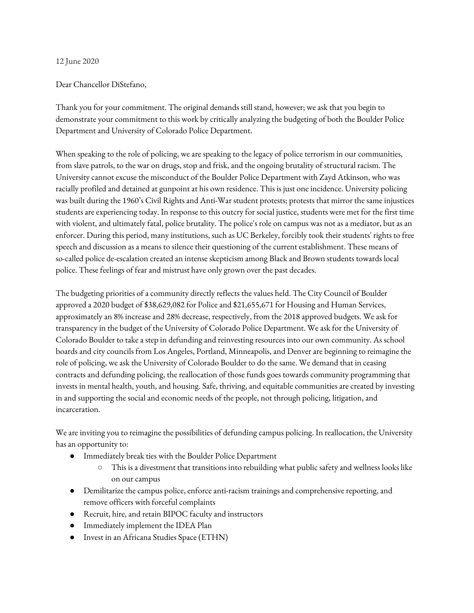## 12 June 2020

## Dear Chancellor DiStefano,

Thank you for your commitment. The original demands still stand, however; we ask that you begin to demonstrate your commitment to this work by critically analyzing the budgeting of both the Boulder Police Department and University of Colorado Police Department.

When speaking to the role of policing, we are speaking to the legacy of police terrorism in our communities, from slave patrols, to the war on drugs, stop and frisk, and the ongoing brutality of structural racism. The University cannot excuse the misconduct of the Boulder Police Department with Zayd Atkinson, who was racially profiled and detained at gunpoint at his own residence. This is just one incidence. University policing was built during the 1960's Civil Rights and Anti-War student protests; protests that mirror the same injustices students are experiencing today. In response to this outcry for social justice, students were met for the first time with violent, and ultimately fatal, police brutality. The police's role on campus was not as a mediator, but as an enforcer. During this period, many institutions, such as UC Berkeley, forcibly took their students' rights to free speech and discussion as a means to silence their questioning of the current establishment. These means of so-called police de-escalation created an intense skepticism among Black and Brown students towards local police. These feelings of fear and mistrust have only grown over the past decades.

The budgeting priorities of a community directly reflects the values held. The City Council of Boulder approved a 2020 budget of \$38,629,082 for Police and \$21,655,671 for Housing and Human Services, approximately an 8% increase and 28% decrease, respectively, from the 2018 approved budgets. We ask for transparency in the budget of the University of Colorado Police Department. We ask for the University of Colorado Boulder to take a step in defunding and reinvesting resources into our own community. As school boards and city councils from Los Angeles, Portland, Minneapolis, and Denver are beginning to reimagine the role of policing, we ask the University of Colorado Boulder to do the same. We demand that in ceasing contracts and defunding policing, the reallocation of those funds goes towards community programming that invests in mental health, youth, and housing. Safe, thriving, and equitable communities are created by investing in and supporting the social and economic needs of the people, not through policing, litigation, and incarceration.

We are inviting you to reimagine the possibilities of defunding campus policing. In reallocation, the University has an opportunity to:

- Immediately break ties with the Boulder Police Department
	- This is a divestment that transitions into rebuilding what public safety and wellness looks like on our campus
- Demilitarize the campus police, enforce anti-racism trainings and comprehensive reporting, and remove officers with forceful complaints
- Recruit, hire, and retain BIPOC faculty and instructors
- Immediately implement the IDEA Plan
- Invest in an Africana Studies Space (ETHN)